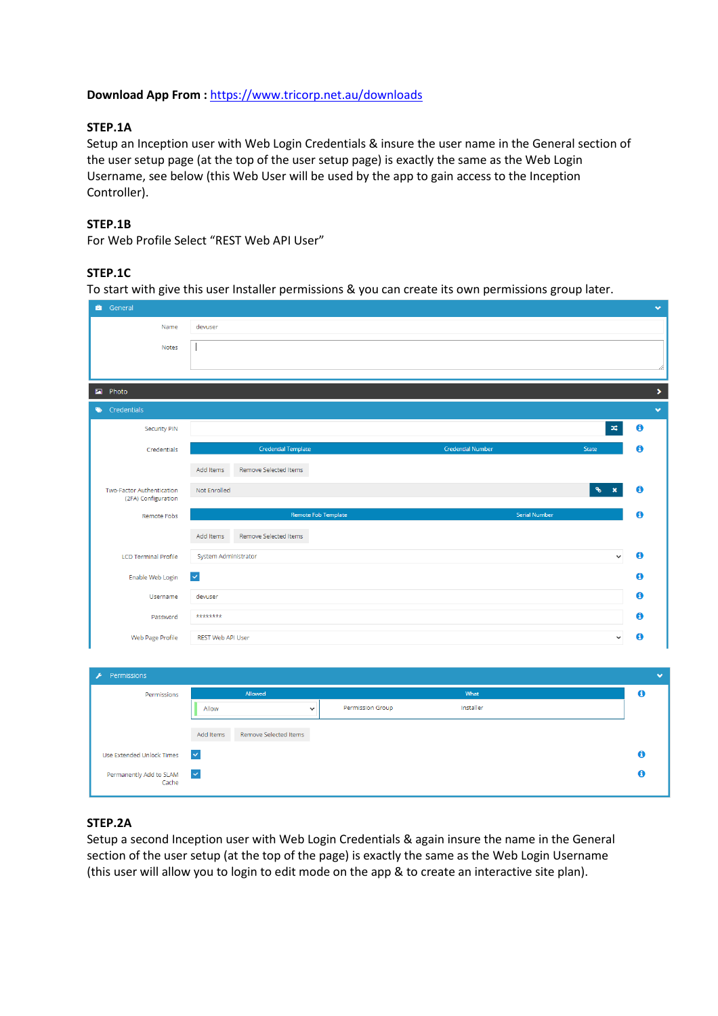# **Download App From :** https://www.tricorp.net.au/downloads

# **STEP.1A**

Setup an Inception user with Web Login Credentials & insure the user name in the General section of the user setup page (at the top of the user setup page) is exactly the same as the Web Login Username, see below (this Web User will be used by the app to gain access to the Inception Controller).

### **STEP.1B**

For Web Profile Select "REST Web API User"

# **STEP.1C**

To start with give this user Installer permissions & you can create its own permissions group later.

| <b>C</b> General                 |                                                                 |              |
|----------------------------------|-----------------------------------------------------------------|--------------|
| Name                             | devuser                                                         |              |
| Notes                            |                                                                 |              |
|                                  |                                                                 |              |
|                                  |                                                                 |              |
| Photo<br>$\blacksquare$          |                                                                 | ×            |
| Credentials                      |                                                                 | $\checkmark$ |
| Security PIN                     | $\mathsf{D}\mathsf{C}$                                          | $\bullet$    |
| Credentials                      | <b>Credential Template</b><br><b>Credential Number</b><br>State | 0            |
|                                  | Add Items<br>Remove Selected Items                              |              |
| Two-Factor Authentication        | Not Enrolled                                                    | ➊            |
| (2FA) Configuration              |                                                                 |              |
| Remote Fobs                      | <b>Remote Fob Template</b><br><b>Serial Number</b>              | 0            |
|                                  | Add Items<br>Remove Selected Items                              |              |
| <b>LCD Terminal Profile</b>      | System Administrator<br>$\check{~}$                             | $\bullet$    |
| Enable Web Login                 | $\vert\bm{\vee}\vert$                                           | 0            |
| Username                         | devuser                                                         | $\bullet$    |
| Password                         | ********                                                        | 0            |
| Web Page Profile                 | REST Web API User<br>$\checkmark$                               | $\bullet$    |
|                                  |                                                                 |              |
| Permissions<br>v                 |                                                                 | $\checkmark$ |
| Permissions                      | Allowed<br>What                                                 | $\mathbf 6$  |
|                                  | Permission Group<br>Installer<br>Allow<br>$\checkmark$          |              |
|                                  | Add Items<br>Remove Selected Items                              |              |
| <b>Use Extended Unlock Times</b> | $\checkmark$                                                    | $\bullet$    |
| Permanently Add to SLAM<br>Cache | ×                                                               | 0            |

# **STEP.2A**

Setup a second Inception user with Web Login Credentials & again insure the name in the General section of the user setup (at the top of the page) is exactly the same as the Web Login Username (this user will allow you to login to edit mode on the app & to create an interactive site plan).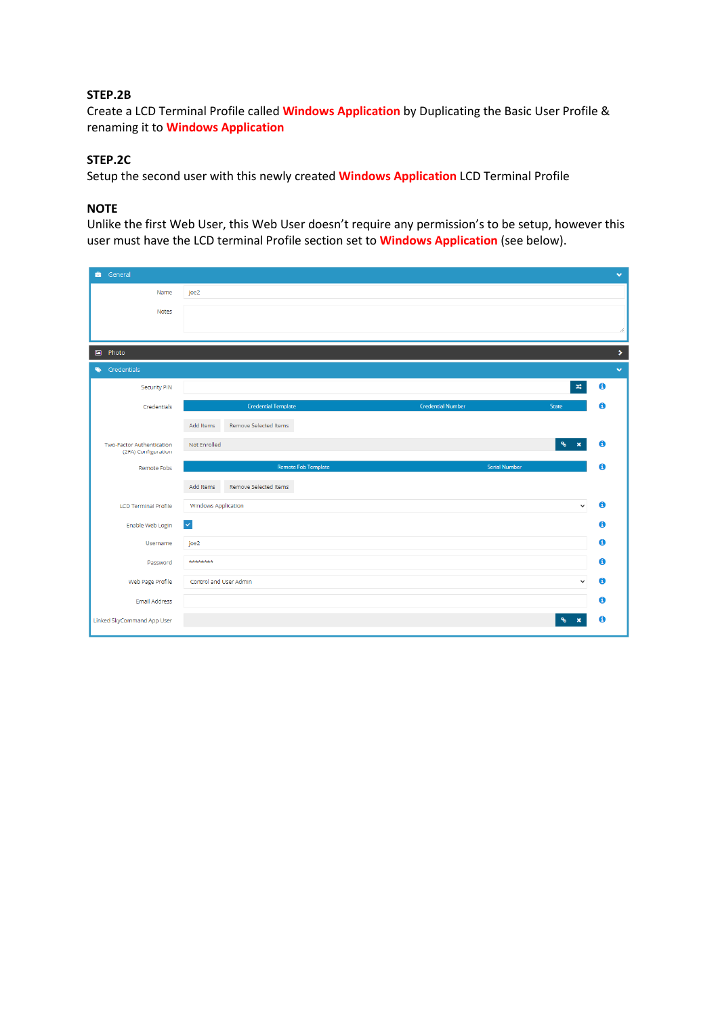#### **STEP.2B**

Create a LCD Terminal Profile called **Windows Application** by Duplicating the Basic User Profile & renaming it to **Windows Application**

# **STEP.2C**

Setup the second user with this newly created **Windows Application** LCD Terminal Profile

# **NOTE**

Unlike the first Web User, this Web User doesn't require any permission's to be setup, however this user must have the LCD terminal Profile section set to **Windows Application** (see below).

| General                                          |                                                                 | $\checkmark$          |
|--------------------------------------------------|-----------------------------------------------------------------|-----------------------|
| Name                                             | joe2                                                            |                       |
| Notes                                            |                                                                 |                       |
|                                                  |                                                                 | h                     |
| Photo<br>圖                                       |                                                                 | $\blacktriangleright$ |
| Credentials                                      |                                                                 | $\checkmark$          |
| <b>Security PIN</b>                              | $\mathbf{x}$                                                    | $\mathbf 6$           |
| Credentials                                      | <b>Credential Template</b><br><b>Credential Number</b><br>State | $\mathbf 6$           |
|                                                  | Add Items<br>Remove Selected Items                              |                       |
| Two-Factor Authentication<br>(2FA) Configuration | $\mathcal{C}$<br>Not Enrolled                                   | $\bullet$             |
| Remote Fobs                                      | <b>Remote Fob Template</b><br><b>Serial Number</b>              | $\bullet$             |
|                                                  | Remove Selected Items<br>Add Items                              |                       |
| <b>LCD Terminal Profile</b>                      | <b>Windows Application</b><br>$\check{~}$                       | $\mathbf 0$           |
| Enable Web Login                                 | $\vert \vee \vert$                                              | $\mathbf{a}$          |
| Username                                         | joe2                                                            | $\mathbf 0$           |
| Password                                         | ********                                                        | 0                     |
| Web Page Profile                                 | Control and User Admin<br>$\checkmark$                          | $\bullet$             |
| Email Address                                    |                                                                 | $\mathbf 6$           |
| Linked SkyCommand App User                       | $\mathcal{C}$                                                   | $\mathbf 6$           |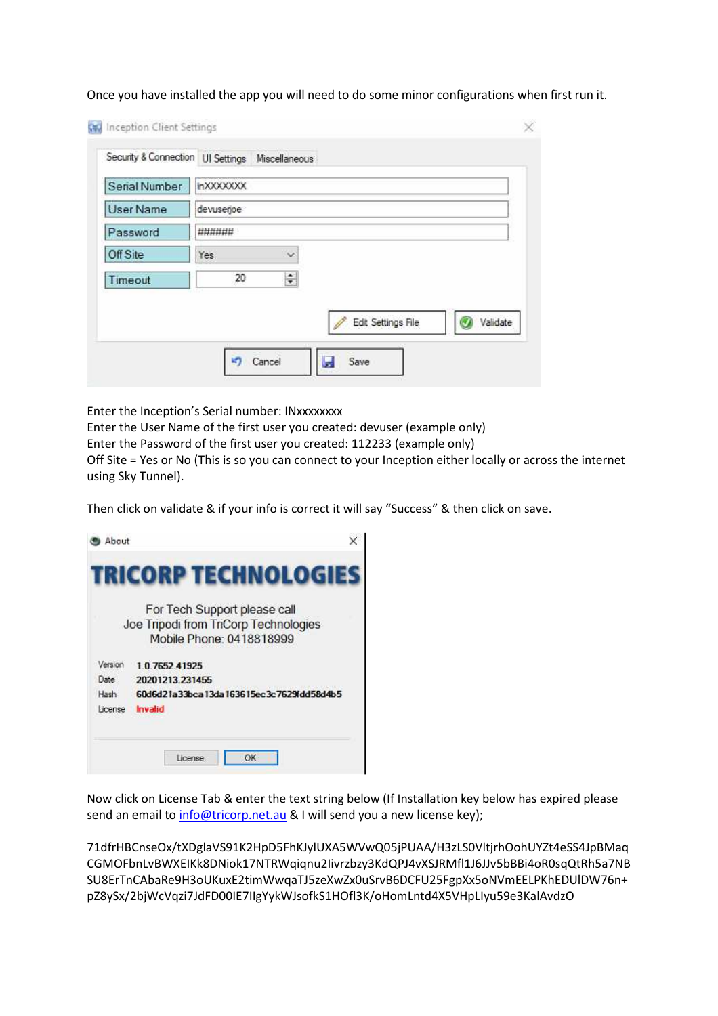| Serial Number    | in XXXXXXXX | Security & Connection UI Settings Miscellaneous |  |                    |          |
|------------------|-------------|-------------------------------------------------|--|--------------------|----------|
| <b>User Name</b> | devuserjoe  |                                                 |  |                    |          |
| Password         | ######      |                                                 |  |                    |          |
| Off Site         | Yes         | $\ddot{\phantom{1}}$                            |  |                    |          |
| Timeout          | 20          | $\div$                                          |  |                    |          |
|                  |             |                                                 |  | Edit Settings File | Validate |

Once you have installed the app you will need to do some minor configurations when first run it.

Enter the Inception's Serial number: INxxxxxxxx

Enter the User Name of the first user you created: devuser (example only)

Enter the Password of the first user you created: 112233 (example only)

Off Site = Yes or No (This is so you can connect to your Inception either locally or across the internet using Sky Tunnel).

Then click on validate & if your info is correct it will say "Success" & then click on save.

|         | For Tech Support please call             |
|---------|------------------------------------------|
|         | Joe Tripodi from TriCorp Technologies    |
|         | Mobile Phone: 0418818999                 |
| Version | 10765241925                              |
| Date    | 20201213 231455                          |
| Hash    | 60d6d21a33bca13da163615ec3c7629fdd58d4b5 |
|         | Invalid                                  |

Now click on License Tab & enter the text string below (If Installation key below has expired please send an email to info@tricorp.net.au & I will send you a new license key);

71dfrHBCnseOx/tXDglaVS91K2HpD5FhKJylUXA5WVwQ05jPUAA/H3zLS0VltjrhOohUYZt4eSS4JpBMaq CGMOFbnLvBWXEIKk8DNiok17NTRWqiqnu2Iivrzbzy3KdQPJ4vXSJRMfl1J6JJv5bBBi4oR0sqQtRh5a7NB SU8ErTnCAbaRe9H3oUKuxE2timWwqaTJ5zeXwZx0uSrvB6DCFU25FgpXx5oNVmEELPKhEDUlDW76n+ pZ8ySx/2bjWcVqzi7JdFD00IE7IIgYykWJsofkS1HOfl3K/oHomLntd4X5VHpLIyu59e3KalAvdzO